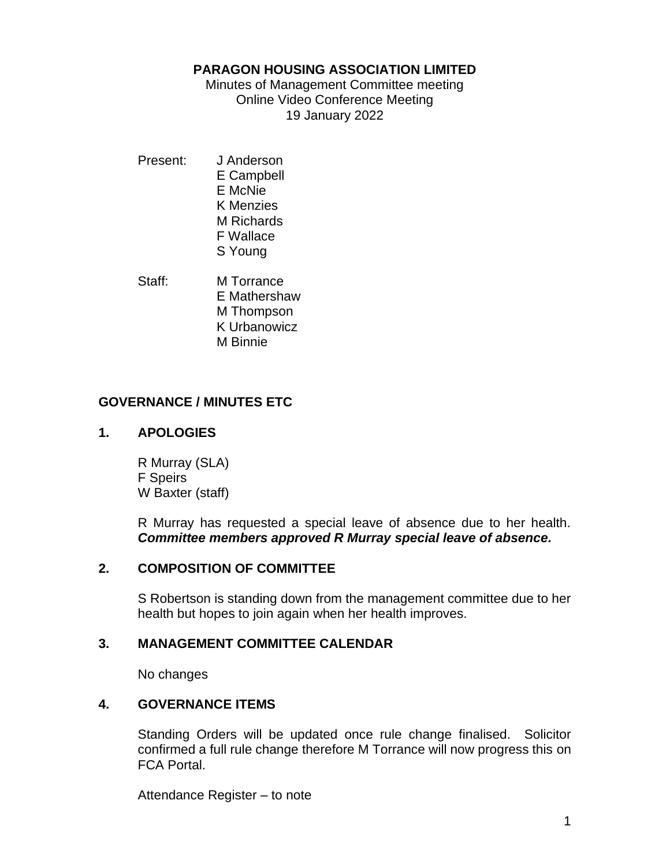#### **PARAGON HOUSING ASSOCIATION LIMITED**

Minutes of Management Committee meeting Online Video Conference Meeting 19 January 2022

Present: J Anderson E Campbell E McNie K Menzies M Richards F Wallace S Young

Staff: M Torrance E Mathershaw M Thompson K Urbanowicz M Binnie

## **GOVERNANCE / MINUTES ETC**

## **1. APOLOGIES**

R Murray (SLA) F Speirs W Baxter (staff)

R Murray has requested a special leave of absence due to her health. *Committee members approved R Murray special leave of absence.*

## **2. COMPOSITION OF COMMITTEE**

S Robertson is standing down from the management committee due to her health but hopes to join again when her health improves.

### **3. MANAGEMENT COMMITTEE CALENDAR**

No changes

### **4. GOVERNANCE ITEMS**

Standing Orders will be updated once rule change finalised. Solicitor confirmed a full rule change therefore M Torrance will now progress this on FCA Portal.

Attendance Register – to note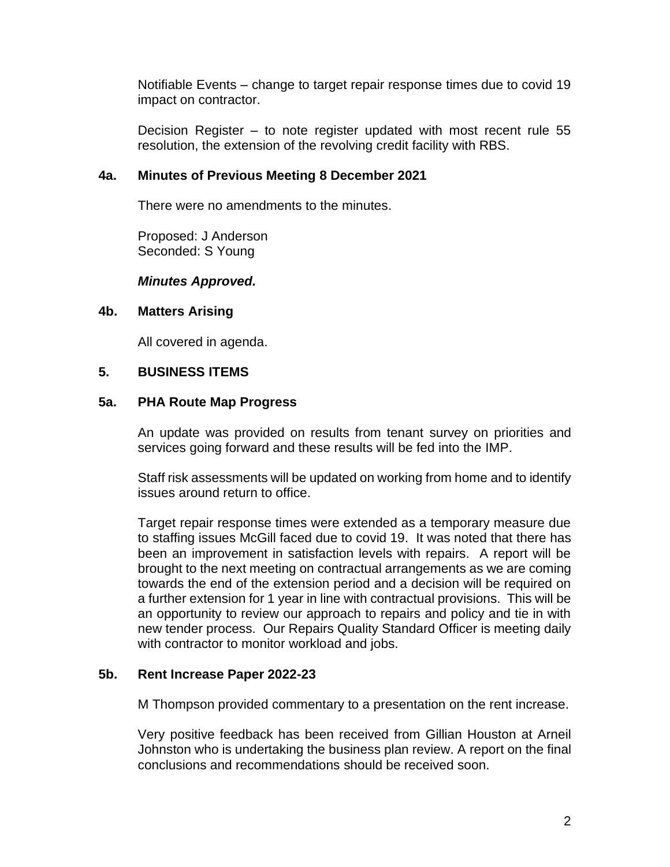Notifiable Events – change to target repair response times due to covid 19 impact on contractor.

Decision Register – to note register updated with most recent rule 55 resolution, the extension of the revolving credit facility with RBS.

### **4a. Minutes of Previous Meeting 8 December 2021**

There were no amendments to the minutes.

Proposed: J Anderson Seconded: S Young

#### *Minutes Approved.*

#### **4b. Matters Arising**

All covered in agenda.

#### **5. BUSINESS ITEMS**

#### **5a. PHA Route Map Progress**

An update was provided on results from tenant survey on priorities and services going forward and these results will be fed into the IMP.

Staff risk assessments will be updated on working from home and to identify issues around return to office.

Target repair response times were extended as a temporary measure due to staffing issues McGill faced due to covid 19. It was noted that there has been an improvement in satisfaction levels with repairs. A report will be brought to the next meeting on contractual arrangements as we are coming towards the end of the extension period and a decision will be required on a further extension for 1 year in line with contractual provisions. This will be an opportunity to review our approach to repairs and policy and tie in with new tender process. Our Repairs Quality Standard Officer is meeting daily with contractor to monitor workload and jobs.

#### **5b. Rent Increase Paper 2022-23**

M Thompson provided commentary to a presentation on the rent increase.

Very positive feedback has been received from Gillian Houston at Arneil Johnston who is undertaking the business plan review. A report on the final conclusions and recommendations should be received soon.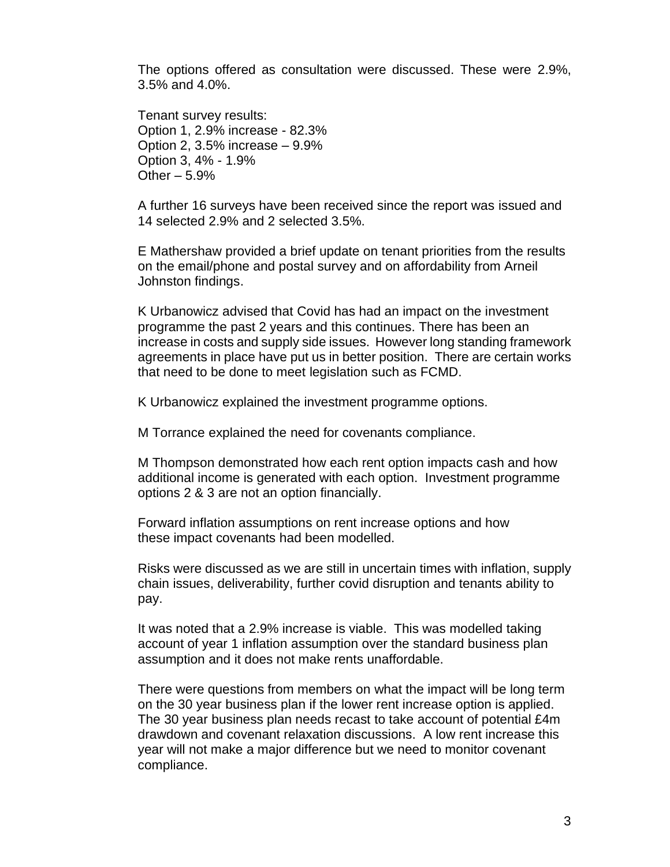The options offered as consultation were discussed. These were 2.9%, 3.5% and 4.0%.

Tenant survey results: Option 1, 2.9% increase - 82.3% Option 2, 3.5% increase – 9.9% Option 3, 4% - 1.9% Other  $-5.9%$ 

A further 16 surveys have been received since the report was issued and 14 selected 2.9% and 2 selected 3.5%.

E Mathershaw provided a brief update on tenant priorities from the results on the email/phone and postal survey and on affordability from Arneil Johnston findings.

K Urbanowicz advised that Covid has had an impact on the investment programme the past 2 years and this continues. There has been an increase in costs and supply side issues. However long standing framework agreements in place have put us in better position. There are certain works that need to be done to meet legislation such as FCMD.

K Urbanowicz explained the investment programme options.

M Torrance explained the need for covenants compliance.

M Thompson demonstrated how each rent option impacts cash and how additional income is generated with each option. Investment programme options 2 & 3 are not an option financially.

Forward inflation assumptions on rent increase options and how these impact covenants had been modelled.

Risks were discussed as we are still in uncertain times with inflation, supply chain issues, deliverability, further covid disruption and tenants ability to pay.

It was noted that a 2.9% increase is viable. This was modelled taking account of year 1 inflation assumption over the standard business plan assumption and it does not make rents unaffordable.

There were questions from members on what the impact will be long term on the 30 year business plan if the lower rent increase option is applied. The 30 year business plan needs recast to take account of potential £4m drawdown and covenant relaxation discussions. A low rent increase this year will not make a major difference but we need to monitor covenant compliance.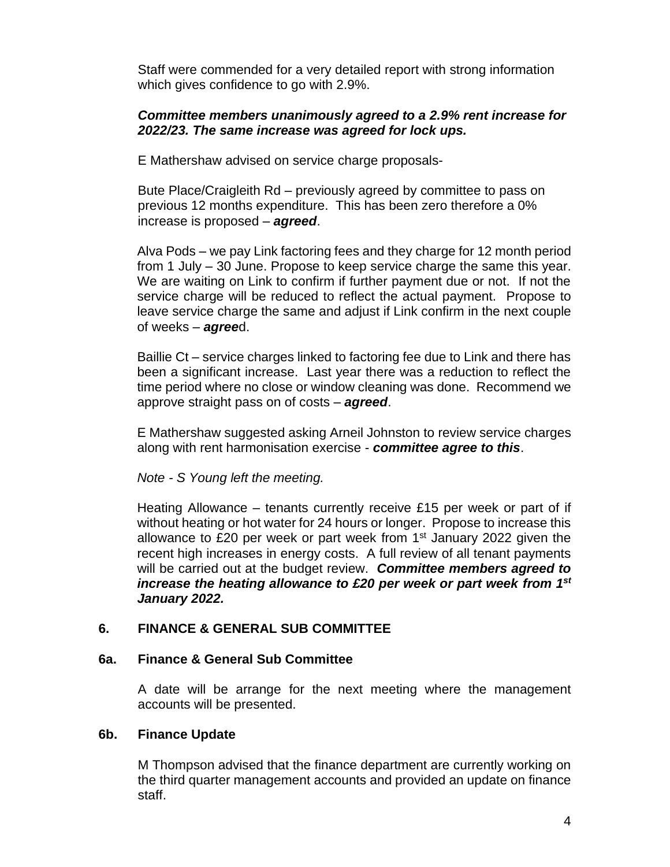Staff were commended for a very detailed report with strong information which gives confidence to go with 2.9%.

#### *Committee members unanimously agreed to a 2.9% rent increase for 2022/23. The same increase was agreed for lock ups.*

E Mathershaw advised on service charge proposals-

Bute Place/Craigleith Rd – previously agreed by committee to pass on previous 12 months expenditure. This has been zero therefore a 0% increase is proposed – *agreed*.

Alva Pods – we pay Link factoring fees and they charge for 12 month period from 1 July – 30 June. Propose to keep service charge the same this year. We are waiting on Link to confirm if further payment due or not. If not the service charge will be reduced to reflect the actual payment. Propose to leave service charge the same and adjust if Link confirm in the next couple of weeks – *agree*d.

Baillie Ct – service charges linked to factoring fee due to Link and there has been a significant increase. Last year there was a reduction to reflect the time period where no close or window cleaning was done. Recommend we approve straight pass on of costs – *agreed*.

E Mathershaw suggested asking Arneil Johnston to review service charges along with rent harmonisation exercise - *committee agree to this*.

*Note - S Young left the meeting.*

Heating Allowance – tenants currently receive £15 per week or part of if without heating or hot water for 24 hours or longer. Propose to increase this allowance to £20 per week or part week from  $1<sup>st</sup>$  January 2022 given the recent high increases in energy costs. A full review of all tenant payments will be carried out at the budget review. *Committee members agreed to increase the heating allowance to £20 per week or part week from 1st January 2022.*

### **6. FINANCE & GENERAL SUB COMMITTEE**

### **6a. Finance & General Sub Committee**

A date will be arrange for the next meeting where the management accounts will be presented.

### **6b. Finance Update**

M Thompson advised that the finance department are currently working on the third quarter management accounts and provided an update on finance staff.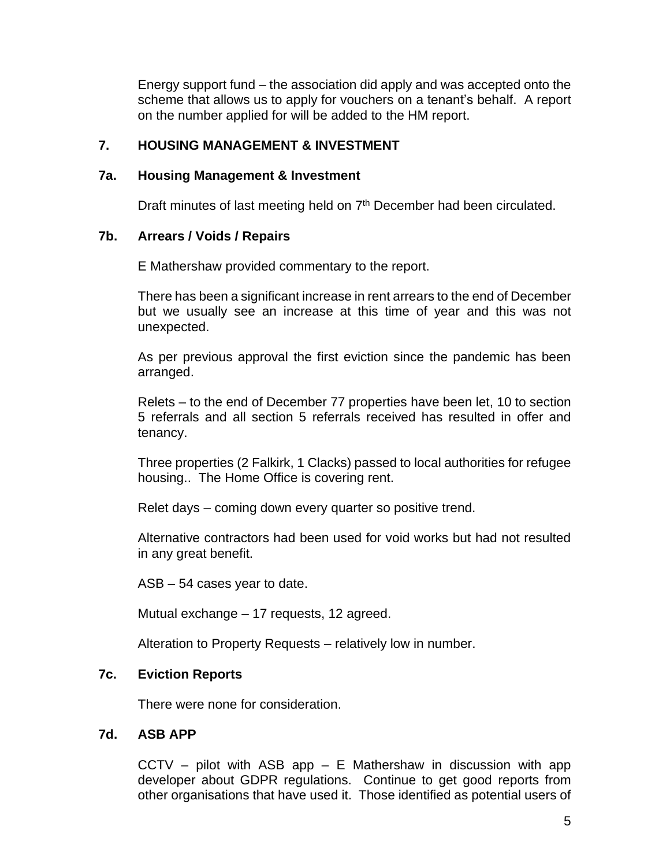Energy support fund – the association did apply and was accepted onto the scheme that allows us to apply for vouchers on a tenant's behalf. A report on the number applied for will be added to the HM report.

## **7. HOUSING MANAGEMENT & INVESTMENT**

#### **7a. Housing Management & Investment**

Draft minutes of last meeting held on 7<sup>th</sup> December had been circulated.

### **7b. Arrears / Voids / Repairs**

E Mathershaw provided commentary to the report.

There has been a significant increase in rent arrears to the end of December but we usually see an increase at this time of year and this was not unexpected.

As per previous approval the first eviction since the pandemic has been arranged.

Relets – to the end of December 77 properties have been let, 10 to section 5 referrals and all section 5 referrals received has resulted in offer and tenancy.

Three properties (2 Falkirk, 1 Clacks) passed to local authorities for refugee housing.. The Home Office is covering rent.

Relet days – coming down every quarter so positive trend.

Alternative contractors had been used for void works but had not resulted in any great benefit.

ASB – 54 cases year to date.

Mutual exchange – 17 requests, 12 agreed.

Alteration to Property Requests – relatively low in number.

### **7c. Eviction Reports**

There were none for consideration.

### **7d. ASB APP**

CCTV – pilot with ASB app – E Mathershaw in discussion with app developer about GDPR regulations. Continue to get good reports from other organisations that have used it. Those identified as potential users of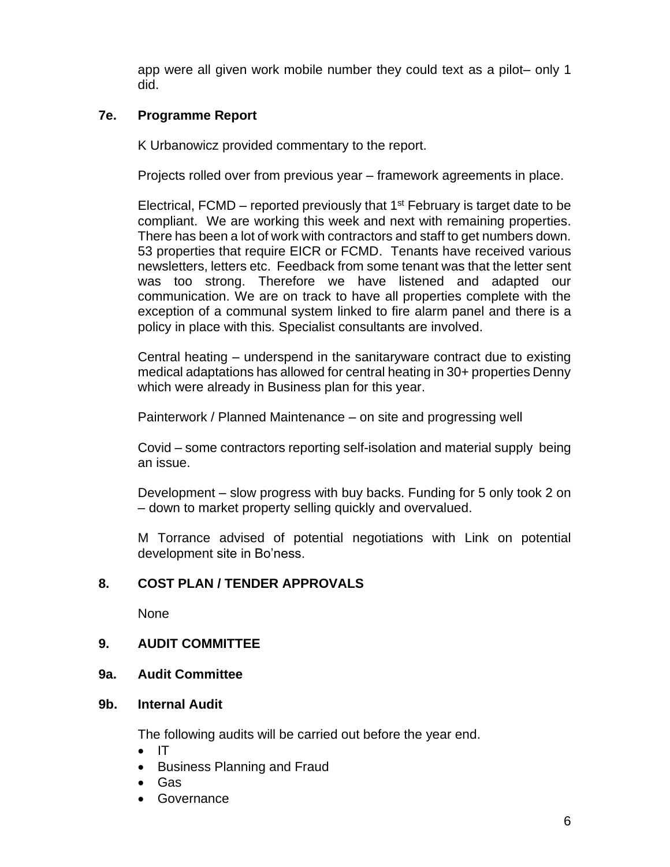app were all given work mobile number they could text as a pilot– only 1 did.

# **7e. Programme Report**

K Urbanowicz provided commentary to the report.

Projects rolled over from previous year – framework agreements in place.

Electrical, FCMD – reported previously that  $1<sup>st</sup>$  February is target date to be compliant. We are working this week and next with remaining properties. There has been a lot of work with contractors and staff to get numbers down. 53 properties that require EICR or FCMD. Tenants have received various newsletters, letters etc. Feedback from some tenant was that the letter sent was too strong. Therefore we have listened and adapted our communication. We are on track to have all properties complete with the exception of a communal system linked to fire alarm panel and there is a policy in place with this. Specialist consultants are involved.

Central heating – underspend in the sanitaryware contract due to existing medical adaptations has allowed for central heating in 30+ properties Denny which were already in Business plan for this year.

Painterwork / Planned Maintenance – on site and progressing well

Covid – some contractors reporting self-isolation and material supply being an issue.

Development – slow progress with buy backs. Funding for 5 only took 2 on – down to market property selling quickly and overvalued.

M Torrance advised of potential negotiations with Link on potential development site in Bo'ness.

### **8. COST PLAN / TENDER APPROVALS**

None

### **9. AUDIT COMMITTEE**

**9a. Audit Committee**

### **9b. Internal Audit**

The following audits will be carried out before the year end.

- IT
- Business Planning and Fraud
- Gas
- Governance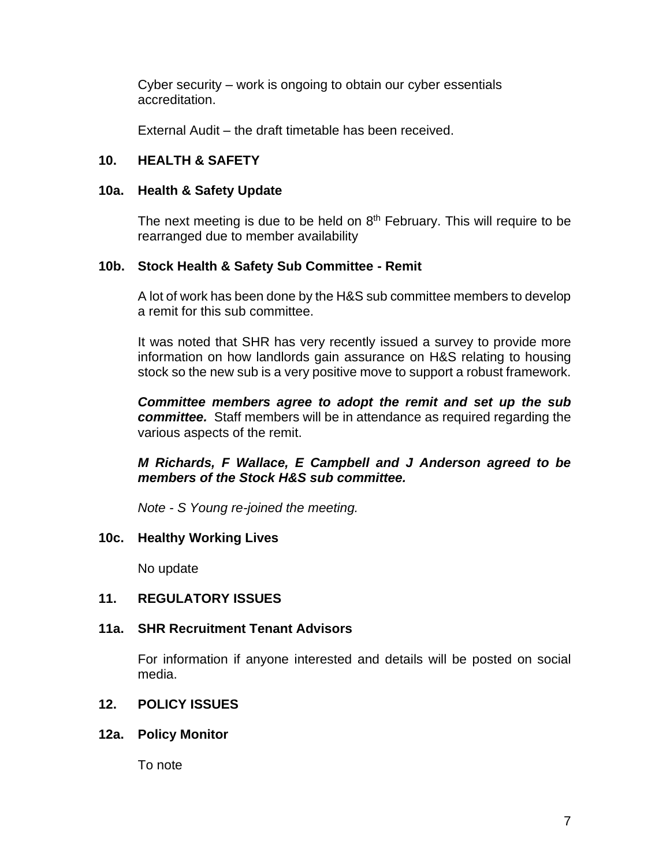Cyber security – work is ongoing to obtain our cyber essentials accreditation.

External Audit – the draft timetable has been received.

# **10. HEALTH & SAFETY**

## **10a. Health & Safety Update**

The next meeting is due to be held on  $8<sup>th</sup>$  February. This will require to be rearranged due to member availability

## **10b. Stock Health & Safety Sub Committee - Remit**

A lot of work has been done by the H&S sub committee members to develop a remit for this sub committee.

It was noted that SHR has very recently issued a survey to provide more information on how landlords gain assurance on H&S relating to housing stock so the new sub is a very positive move to support a robust framework.

*Committee members agree to adopt the remit and set up the sub committee.* Staff members will be in attendance as required regarding the various aspects of the remit.

*M Richards, F Wallace, E Campbell and J Anderson agreed to be members of the Stock H&S sub committee.*

*Note - S Young re-joined the meeting.*

# **10c. Healthy Working Lives**

No update

# **11. REGULATORY ISSUES**

# **11a. SHR Recruitment Tenant Advisors**

For information if anyone interested and details will be posted on social media.

# **12. POLICY ISSUES**

### **12a. Policy Monitor**

To note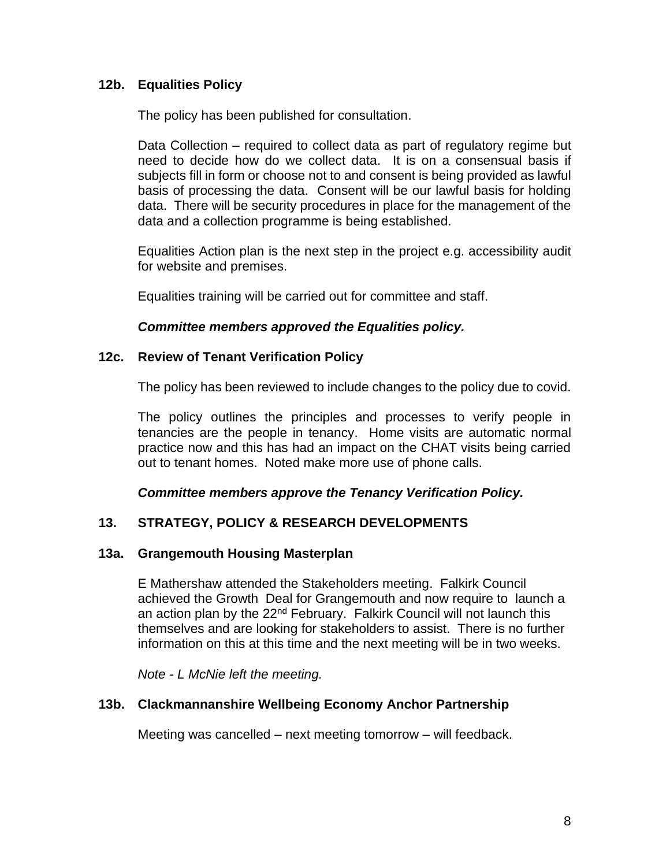## **12b. Equalities Policy**

The policy has been published for consultation.

Data Collection – required to collect data as part of regulatory regime but need to decide how do we collect data. It is on a consensual basis if subjects fill in form or choose not to and consent is being provided as lawful basis of processing the data. Consent will be our lawful basis for holding data. There will be security procedures in place for the management of the data and a collection programme is being established.

Equalities Action plan is the next step in the project e.g. accessibility audit for website and premises.

Equalities training will be carried out for committee and staff.

#### *Committee members approved the Equalities policy.*

#### **12c. Review of Tenant Verification Policy**

The policy has been reviewed to include changes to the policy due to covid.

The policy outlines the principles and processes to verify people in tenancies are the people in tenancy. Home visits are automatic normal practice now and this has had an impact on the CHAT visits being carried out to tenant homes. Noted make more use of phone calls.

*Committee members approve the Tenancy Verification Policy.*

### **13. STRATEGY, POLICY & RESEARCH DEVELOPMENTS**

### **13a. Grangemouth Housing Masterplan**

E Mathershaw attended the Stakeholders meeting. Falkirk Council achieved the Growth Deal for Grangemouth and now require to launch a an action plan by the 22<sup>nd</sup> February. Falkirk Council will not launch this themselves and are looking for stakeholders to assist. There is no further information on this at this time and the next meeting will be in two weeks.

*Note - L McNie left the meeting.*

### **13b. Clackmannanshire Wellbeing Economy Anchor Partnership**

Meeting was cancelled – next meeting tomorrow – will feedback.